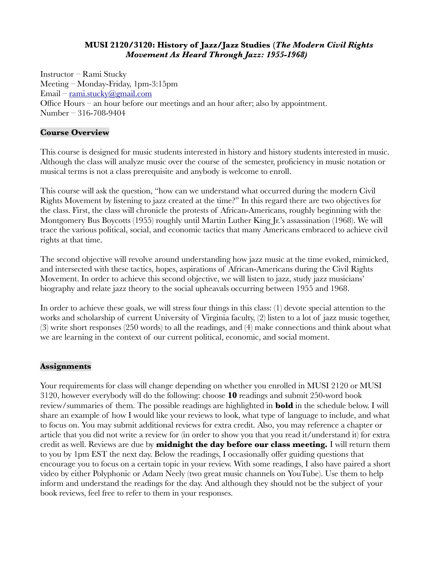## **MUSI 2120/3120: History of Jazz/Jazz Studies (***The Modern Civil Rights Movement As Heard Through Jazz: 1955-1968)*

Instructor – Rami Stucky Meeting – Monday-Friday, 1pm-3:15pm Email – [rami.stucky@gmail.com](mailto:rami.stucky@gmail.com) Office Hours – an hour before our meetings and an hour after; also by appointment. Number – 316-708-9404

## **Course Overview**

This course is designed for music students interested in history and history students interested in music. Although the class will analyze music over the course of the semester, proficiency in music notation or musical terms is not a class prerequisite and anybody is welcome to enroll.

This course will ask the question, "how can we understand what occurred during the modern Civil Rights Movement by listening to jazz created at the time?" In this regard there are two objectives for the class. First, the class will chronicle the protests of African-Americans, roughly beginning with the Montgomery Bus Boycotts (1955) roughly until Martin Luther King Jr.'s assassination (1968). We will trace the various political, social, and economic tactics that many Americans embraced to achieve civil rights at that time.

The second objective will revolve around understanding how jazz music at the time evoked, mimicked, and intersected with these tactics, hopes, aspirations of African-Americans during the Civil Rights Movement. In order to achieve this second objective, we will listen to jazz, study jazz musicians' biography and relate jazz theory to the social upheavals occurring between 1955 and 1968.

In order to achieve these goals, we will stress four things in this class: (1) devote special attention to the works and scholarship of current University of Virginia faculty, (2) listen to a lot of jazz music together, (3) write short responses (250 words) to all the readings, and (4) make connections and think about what we are learning in the context of our current political, economic, and social moment.

## **Assignments**

Your requirements for class will change depending on whether you enrolled in MUSI 2120 or MUSI 3120, however everybody will do the following: choose **10** readings and submit 250-word book review/summaries of them. The possible readings are highlighted in **bold** in the schedule below. I will share an example of how I would like your reviews to look, what type of language to include, and what to focus on. You may submit additional reviews for extra credit. Also, you may reference a chapter or article that you did not write a review for (in order to show you that you read it/understand it) for extra credit as well. Reviews are due by **midnight the day before our class meeting.** I will return them to you by 1pm EST the next day. Below the readings, I occasionally offer guiding questions that encourage you to focus on a certain topic in your review. With some readings, I also have paired a short video by either Polyphonic or Adam Neely (two great music channels on YouTube). Use them to help inform and understand the readings for the day. And although they should not be the subject of your book reviews, feel free to refer to them in your responses.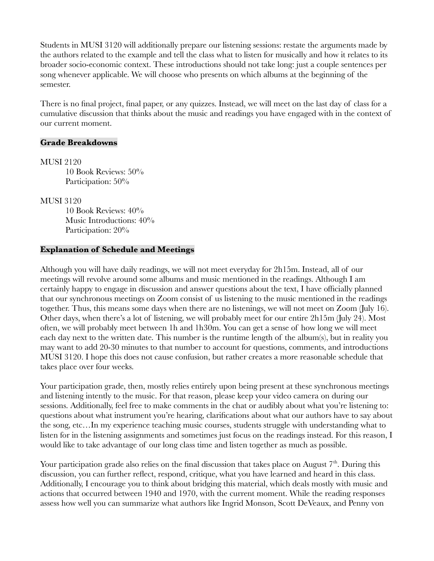Students in MUSI 3120 will additionally prepare our listening sessions: restate the arguments made by the authors related to the example and tell the class what to listen for musically and how it relates to its broader socio-economic context. These introductions should not take long: just a couple sentences per song whenever applicable. We will choose who presents on which albums at the beginning of the semester.

There is no final project, final paper, or any quizzes. Instead, we will meet on the last day of class for a cumulative discussion that thinks about the music and readings you have engaged with in the context of our current moment.

### **Grade Breakdowns**

MUSI 2120 10 Book Reviews: 50% Participation:  $50\%$ 

MUSI 3120

10 Book Reviews: 40% Music Introductions: 40% Participation:  $20\%$ 

## **Explanation of Schedule and Meetings**

Although you will have daily readings, we will not meet everyday for 2h15m. Instead, all of our meetings will revolve around some albums and music mentioned in the readings. Although I am certainly happy to engage in discussion and answer questions about the text, I have officially planned that our synchronous meetings on Zoom consist of us listening to the music mentioned in the readings together. Thus, this means some days when there are no listenings, we will not meet on Zoom (July 16). Other days, when there's a lot of listening, we will probably meet for our entire 2h15m (July 24). Most often, we will probably meet between 1h and 1h30m. You can get a sense of how long we will meet each day next to the written date. This number is the runtime length of the album(s), but in reality you may want to add 20-30 minutes to that number to account for questions, comments, and introductions MUSI 3120. I hope this does not cause confusion, but rather creates a more reasonable schedule that takes place over four weeks.

Your participation grade, then, mostly relies entirely upon being present at these synchronous meetings and listening intently to the music. For that reason, please keep your video camera on during our sessions. Additionally, feel free to make comments in the chat or audibly about what you're listening to: questions about what instrument you're hearing, clarifications about what our authors have to say about the song, etc…In my experience teaching music courses, students struggle with understanding what to listen for in the listening assignments and sometimes just focus on the readings instead. For this reason, I would like to take advantage of our long class time and listen together as much as possible.

Your participation grade also relies on the final discussion that takes place on August  $7<sup>th</sup>$ . During this discussion, you can further reflect, respond, critique, what you have learned and heard in this class. Additionally, I encourage you to think about bridging this material, which deals mostly with music and actions that occurred between 1940 and 1970, with the current moment. While the reading responses assess how well you can summarize what authors like Ingrid Monson, Scott DeVeaux, and Penny von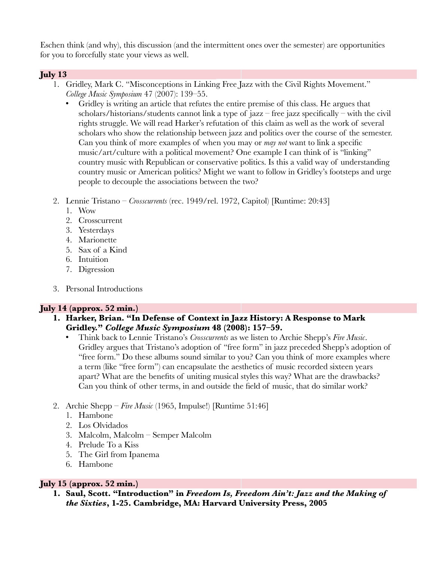Eschen think (and why), this discussion (and the intermittent ones over the semester) are opportunities for you to forcefully state your views as well.

# **July 13**

- 1. Gridley, Mark C. "Misconceptions in Linking Free Jazz with the Civil Rights Movement." *College Music Symposium* 47 (2007): 139–55.
	- Gridley is writing an article that refutes the entire premise of this class. He argues that scholars/historians/students cannot link a type of jazz – free jazz specifically – with the civil rights struggle. We will read Harker's refutation of this claim as well as the work of several scholars who show the relationship between jazz and politics over the course of the semester. Can you think of more examples of when you may or *may not* want to link a specific music/art/culture with a political movement? One example I can think of is "linking" country music with Republican or conservative politics. Is this a valid way of understanding country music or American politics? Might we want to follow in Gridley's footsteps and urge people to decouple the associations between the two?
- 2. Lennie Tristano *Crosscurrents* (rec. 1949/rel. 1972, Capitol) [Runtime: 20:43]
	- 1. Wow
	- 2. Crosscurrent
	- 3. Yesterdays
	- 4. Marionette
	- 5. Sax of a Kind
	- 6. Intuition
	- 7. Digression
- 3. Personal Introductions

# **July 14 (approx. 52 min.)**

- **1. Harker, Brian. "In Defense of Context in Jazz History: A Response to Mark Gridley."** *College Music Symposium* **48 (2008): 157–59.**
	- Think back to Lennie Tristano's *Crosscurrents* as we listen to Archie Shepp's *Fire Music*. Gridley argues that Tristano's adoption of "free form" in jazz preceded Shepp's adoption of "free form." Do these albums sound similar to you? Can you think of more examples where a term (like "free form") can encapsulate the aesthetics of music recorded sixteen years apart? What are the benefits of uniting musical styles this way? What are the drawbacks? Can you think of other terms, in and outside the field of music, that do similar work?
- 2. Archie Shepp *Fire Music* (1965, Impulse!) [Runtime 51:46]
	- 1. Hambone
	- 2. Los Olvidados
	- 3. Malcolm, Malcolm Semper Malcolm
	- 4. Prelude To a Kiss
	- 5. The Girl from Ipanema
	- 6. Hambone

# **July 15 (approx. 52 min.)**

**1. Saul, Scott. "Introduction" in** *Freedom Is, Freedom Ain't: Jazz and the Making of the Sixties***, 1-25. Cambridge, MA: Harvard University Press, 2005**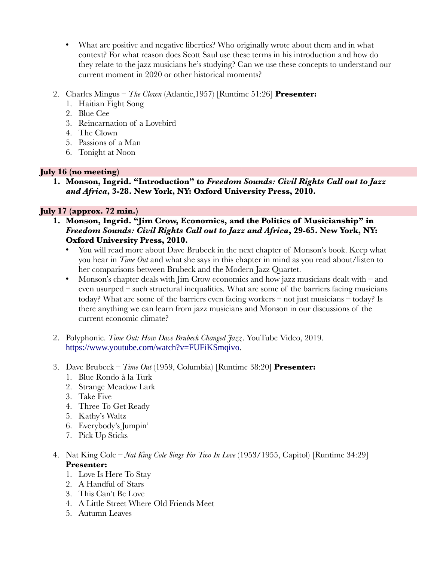- What are positive and negative liberties? Who originally wrote about them and in what context? For what reason does Scott Saul use these terms in his introduction and how do they relate to the jazz musicians he's studying? Can we use these concepts to understand our current moment in 2020 or other historical moments?
- 2. Charles Mingus – *The Clown* (Atlantic,1957) [Runtime 51:26] **Presenter:**
	- 1. Haitian Fight Song
	- 2. Blue Cee
	- 3. Reincarnation of a Lovebird
	- 4. The Clown
	- 5. Passions of a Man
	- 6. Tonight at Noon

# **July 16 (no meeting)**

**1. Monson, Ingrid. "Introduction" to** *Freedom Sounds: Civil Rights Call out to Jazz and Africa***, 3-28. New York, NY: Oxford University Press, 2010.**

# **July 17 (approx. 72 min.)**

- **1. Monson, Ingrid. "Jim Crow, Economics, and the Politics of Musicianship" in**  *Freedom Sounds: Civil Rights Call out to Jazz and Africa***, 29-65. New York, NY: Oxford University Press, 2010.**
	- You will read more about Dave Brubeck in the next chapter of Monson's book. Keep what you hear in *Time Out* and what she says in this chapter in mind as you read about/listen to her comparisons between Brubeck and the Modern Jazz Quartet.
	- Monson's chapter deals with  $\lim_{x \to a} C$  conomics and how jazz musicians dealt with and even usurped – such structural inequalities. What are some of the barriers facing musicians today? What are some of the barriers even facing workers – not just musicians – today? Is there anything we can learn from jazz musicians and Monson in our discussions of the current economic climate?
- 2. Polyphonic. *Time Out: How Dave Brubeck Changed Jazz*. YouTube Video, 2019. <https://www.youtube.com/watch?v=FUFiKSmqivo>.
- 3. Dave Brubeck *Time Out* (1959, Columbia) [Runtime 38:20] **Presenter:**
	- 1. Blue Rondo à la Turk
	- 2. Strange Meadow Lark
	- 3. Take Five
	- 4. Three To Get Ready
	- 5. Kathy's Waltz
	- 6. Everybody's Jumpin'
	- 7. Pick Up Sticks
- 4. Nat King Cole *Nat King Cole Sings For Two In Love* (1953/1955, Capitol) [Runtime 34:29] **Presenter:**
	- 1. Love Is Here To Stay
	- 2. A Handful of Stars
	- 3. This Can't Be Love
	- 4. A Little Street Where Old Friends Meet
	- 5. Autumn Leaves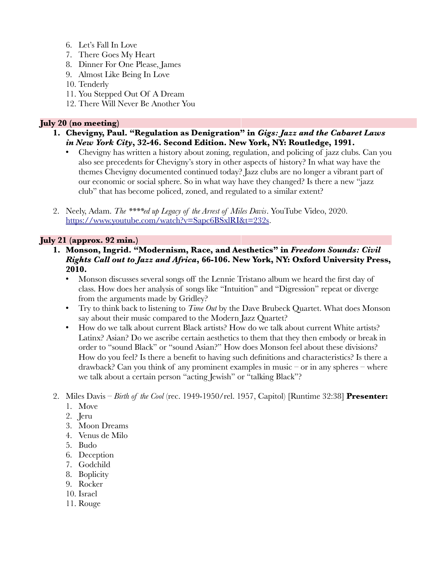- 6. Let's Fall In Love
- 7. There Goes My Heart
- 8. Dinner For One Please, James
- 9. Almost Like Being In Love
- 10. Tenderly
- 11. You Stepped Out Of A Dream
- 12. There Will Never Be Another You

## **July 20 (no meeting)**

- **1. Chevigny, Paul. "Regulation as Denigration" in** *Gigs: Jazz and the Cabaret Laws in New York City***, 32-46. Second Edition. New York, NY: Routledge, 1991.**
	- Chevigny has written a history about zoning, regulation, and policing of jazz clubs. Can you also see precedents for Chevigny's story in other aspects of history? In what way have the themes Chevigny documented continued today? Jazz clubs are no longer a vibrant part of our economic or social sphere. So in what way have they changed? Is there a new "jazz club" that has become policed, zoned, and regulated to a similar extent?
- 2. Neely, Adam. *The \*\*\*\*ed up Legacy of the Arrest of Miles Davis*. YouTube Video, 2020. [https://www.youtube.com/watch?v=Sapc6BSxlRI&t=232s.](https://www.youtube.com/watch?v=Sapc6BSxlRI&t=232s)

# **July 21 (approx. 92 min.)**

- **1. Monson, Ingrid. "Modernism, Race, and Aesthetics" in** *Freedom Sounds: Civil Rights Call out to Jazz and Africa***, 66-106. New York, NY: Oxford University Press, 2010.**
	- Monson discusses several songs off the Lennie Tristano album we heard the first day of class. How does her analysis of songs like "Intuition" and "Digression" repeat or diverge from the arguments made by Gridley?
	- Try to think back to listening to *Time Out* by the Dave Brubeck Quartet. What does Monson say about their music compared to the Modern Jazz Quartet?
	- How do we talk about current Black artists? How do we talk about current White artists? Latinx? Asian? Do we ascribe certain aesthetics to them that they then embody or break in order to "sound Black" or "sound Asian?" How does Monson feel about these divisions? How do you feel? Is there a benefit to having such definitions and characteristics? Is there a drawback? Can you think of any prominent examples in music – or in any spheres – where we talk about a certain person "acting Jewish" or "talking Black"?
- 2. Miles Davis *Birth of the Cool* (rec. 1949-1950/rel. 1957, Capitol) [Runtime 32:38] **Presenter:** 
	- 1. Move
	- 2. Jeru
	- 3. Moon Dreams
	- 4. Venus de Milo
	- 5. Budo
	- 6. Deception
	- 7. Godchild
	- 8. Boplicity
	- 9. Rocker
	- 10. Israel
	- 11. Rouge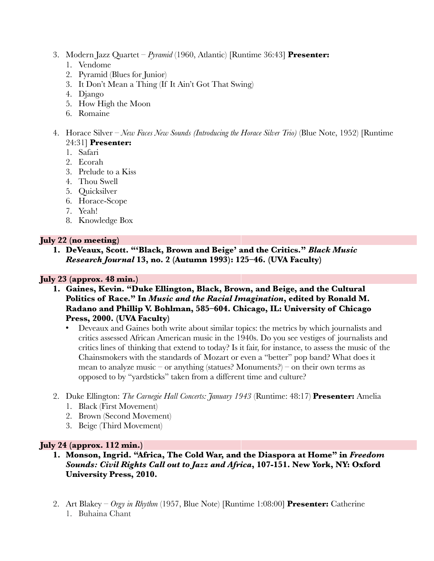- 3. Modern Jazz Quartet *Pyramid* (1960, Atlantic) [Runtime 36:43] **Presenter:**
	- 1. Vendome
	- 2. Pyramid (Blues for Junior)
	- 3. It Don't Mean a Thing (If It Ain't Got That Swing)
	- 4. Django
	- 5. How High the Moon
	- 6. Romaine
- 4. Horace Silver *New Faces New Sounds (Introducing the Horace Silver Trio)* (Blue Note, 1952) [Runtime 24:31] **Presenter:**
	- 1. Safari
	- 2. Ecorah
	- 3. Prelude to a Kiss
	- 4. Thou Swell
	- 5. Quicksilver
	- 6. Horace-Scope
	- 7. Yeah!
	- 8. Knowledge Box

## **July 22 (no meeting)**

**1. DeVeaux, Scott. "'Black, Brown and Beige' and the Critics."** *Black Music Research Journal* **13, no. 2 (Autumn 1993): 125–46. (UVA Faculty)**

## **July 23 (approx. 48 min.)**

- **1. Gaines, Kevin. "Duke Ellington, Black, Brown, and Beige, and the Cultural Politics of Race." In** *Music and the Racial Imagination***, edited by Ronald M. Radano and Phillip V. Bohlman, 585–604. Chicago, IL: University of Chicago Press, 2000. (UVA Faculty)**
	- Deveaux and Gaines both write about similar topics: the metrics by which journalists and critics assessed African American music in the 1940s. Do you see vestiges of journalists and critics lines of thinking that extend to today? Is it fair, for instance, to assess the music of the Chainsmokers with the standards of Mozart or even a "better" pop band? What does it mean to analyze music – or anything (statues? Monuments?) – on their own terms as opposed to by "yardsticks" taken from a different time and culture?
- 2. Duke Ellington: *The Carnegie Hall Concerts: January 1943* (Runtime: 48:17) **Presenter:** Amelia
	- 1. Black (First Movement)
	- 2. Brown (Second Movement)
	- 3. Beige (Third Movement)

## **July 24 (approx. 112 min.)**

- **1. Monson, Ingrid. "Africa, The Cold War, and the Diaspora at Home" in** *Freedom Sounds: Civil Rights Call out to Jazz and Africa***, 107-151. New York, NY: Oxford University Press, 2010.**
- 2. Art Blakey *Orgy in Rhythm* (1957, Blue Note) [Runtime 1:08:00] **Presenter:** Catherine 1. Buhaina Chant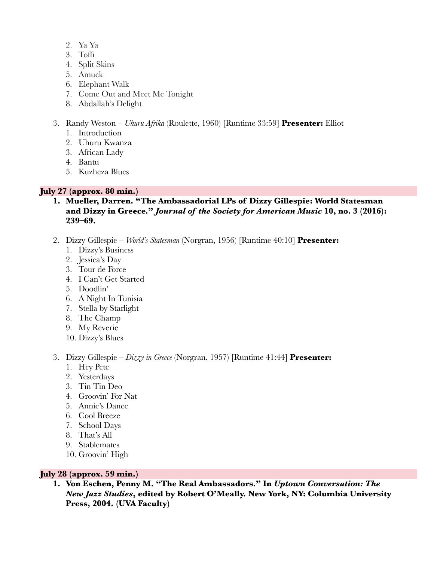- 2. Ya Ya
- 3. Toffi
- 4. Split Skins
- 5. Amuck
- 6. Elephant Walk
- 7. Come Out and Meet Me Tonight
- 8. Abdallah's Delight
- 3. Randy Weston *Uhuru Afrika* (Roulette, 1960) [Runtime 33:59] **Presenter:** Elliot
	- 1. Introduction
	- 2. Uhuru Kwanza
	- 3. African Lady
	- 4. Bantu
	- 5. Kuzheza Blues

## **July 27 (approx. 80 min.)**

- **1. Mueller, Darren. "The Ambassadorial LPs of Dizzy Gillespie: World Statesman and Dizzy in Greece."** *Journal of the Society for American Music* **10, no. 3 (2016): 239–69.**
- 2. Dizzy Gillespie *World's Statesman* (Norgran, 1956) [Runtime 40:10] **Presenter:**
	- 1. Dizzy's Business
	- 2. Jessica's Day
	- 3. Tour de Force
	- 4. I Can't Get Started
	- 5. Doodlin'
	- 6. A Night In Tunisia
	- 7. Stella by Starlight
	- 8. The Champ
	- 9. My Reverie
	- 10. Dizzy's Blues

### 3. Dizzy Gillespie – *Dizzy in Greece* (Norgran, 1957) [Runtime 41:44] **Presenter:**

- 1. Hey Pete
- 2. Yesterdays
- 3. Tin Tin Deo
- 4. Groovin' For Nat
- 5. Annie's Dance
- 6. Cool Breeze
- 7. School Days
- 8. That's All
- 9. Stablemates
- 10. Groovin' High

### **July 28 (approx. 59 min.)**

**1. Von Eschen, Penny M. "The Real Ambassadors." In** *Uptown Conversation: The New Jazz Studies***, edited by Robert O'Meally. New York, NY: Columbia University Press, 2004. (UVA Faculty)**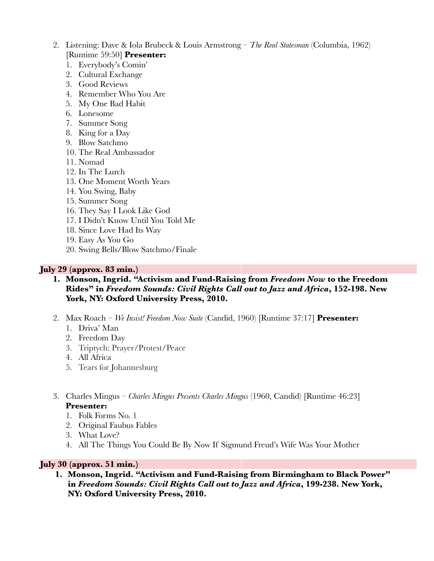- 2. Listening: Dave & Iola Brubeck & Louis Armstrong *The Real Statesman* (Columbia, 1962) [Runtime 59:50] **Presenter:**
	- 1. Everybody's Comin'
	- 2. Cultural Exchange
	- 3. Good Reviews
	- 4. Remember Who You Are
	- 5. My One Bad Habit
	- 6. Lonesome
	- 7. Summer Song
	- 8. King for a Day
	- 9. Blow Satchmo
	- 10. The Real Ambassador
	- 11. Nomad
	- 12. In The Lurch
	- 13. One Moment Worth Years
	- 14. You Swing, Baby
	- 15. Summer Song
	- 16. They Say I Look Like God
	- 17. I Didn't Know Until You Told Me
	- 18. Since Love Had Its Way
	- 19. Easy As You Go
	- 20. Swing Bells/Blow Satchmo/Finale

### **July 29 (approx. 83 min.)**

- **1. Monson, Ingrid. "Activism and Fund-Raising from** *Freedom Now* **to the Freedom Rides" in** *Freedom Sounds: Civil Rights Call out to Jazz and Africa***, 152-198. New York, NY: Oxford University Press, 2010.**
- 2. Max Roach *We Insist! Freedom Now Suite* (Candid, 1960) [Runtime 37:17] **Presenter:** 
	- 1. Driva' Man
	- 2. Freedom Day
	- 3. Triptych: Prayer/Protest/Peace
	- 4. All Africa
	- 5. Tears for Johannesburg
- 3. Charles Mingus *Charles Mingus Presents Charles Mingus* (1960, Candid) [Runtime 46:23] **Presenter:**
	- 1. Folk Forms No. 1
	- 2. Original Faubus Fables
	- 3. What Love?
	- 4. All The Things You Could Be By Now If Sigmund Freud's Wife Was Your Mother

## **July 30 (approx. 51 min.)**

**1. Monson, Ingrid. "Activism and Fund-Raising from Birmingham to Black Power" in** *Freedom Sounds: Civil Rights Call out to Jazz and Africa***, 199-238. New York, NY: Oxford University Press, 2010.**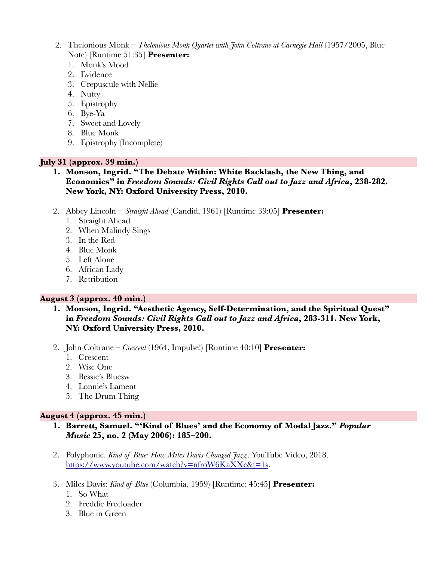- 2. Thelonious Monk *Thelonious Monk Quartet with John Coltrane at Carnegie Hall* (1957/2005, Blue Note) [Runtime 51:35] **Presenter:**
	- 1. Monk's Mood
	- 2. Evidence
	- 3. Crepuscule with Nellie
	- 4. Nutty
	- 5. Epistrophy
	- 6. Bye-Ya
	- 7. Sweet and Lovely
	- 8. Blue Monk
	- 9. Epistrophy (Incomplete)

# **July 31 (approx. 39 min.)**

- **1. Monson, Ingrid. "The Debate Within: White Backlash, the New Thing, and Economics" in** *Freedom Sounds: Civil Rights Call out to Jazz and Africa***, 238-282. New York, NY: Oxford University Press, 2010.**
- 2. Abbey Lincoln – *Straight Ahead* (Candid, 1961) [Runtime 39:05] **Presenter:**
	- 1. Straight Ahead
	- 2. When Malindy Sings
	- 3. In the Red
	- 4. Blue Monk
	- 5. Left Alone
	- 6. African Lady
	- 7. Retribution

# **August 3 (approx. 40 min.)**

- **1. Monson, Ingrid. "Aesthetic Agency, Self-Determination, and the Spiritual Quest" in** *Freedom Sounds: Civil Rights Call out to Jazz and Africa***, 283-311. New York, NY: Oxford University Press, 2010.**
- 2. John Coltrane *Crescent* (1964, Impulse!) [Runtime 40:10] **Presenter:**
	- 1. Crescent
	- 2. Wise One
	- 3. Bessie's Bluesw
	- 4. Lonnie's Lament
	- 5. The Drum Thing

## **August 4 (approx. 45 min.)**

- **1. Barrett, Samuel. "'Kind of Blues' and the Economy of Modal Jazz."** *Popular Music* **25, no. 2 (May 2006): 185–200.**
- 2. Polyphonic. *Kind of Blue: How Miles Davis Changed Jazz*. YouTube Video, 2018. [https://www.youtube.com/watch?v=nfroW6KaXXc&t=1s.](https://www.youtube.com/watch?v=nfroW6KaXXc&t=1s)
- 3. Miles Davis: *Kind of Blue* (Columbia, 1959) [Runtime: 45:45] **Presenter:**
	- 1. So What
	- 2. Freddie Freeloader
	- 3. Blue in Green